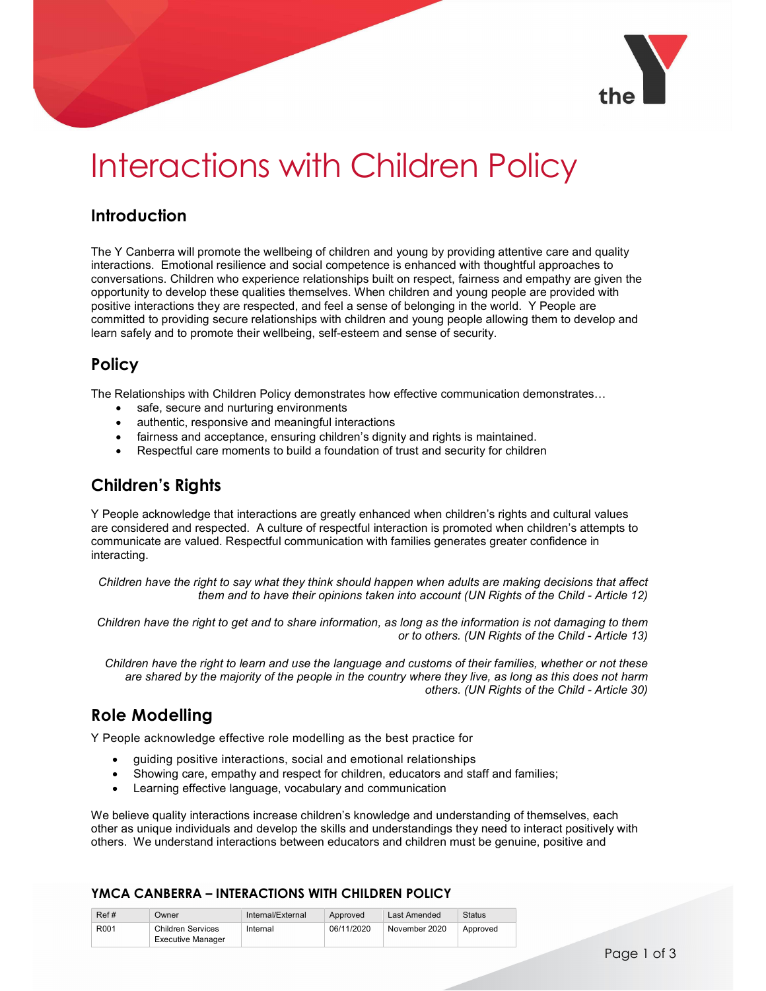

# Interactions with Children Policy

# Introduction

The Y Canberra will promote the wellbeing of children and young by providing attentive care and quality interactions. Emotional resilience and social competence is enhanced with thoughtful approaches to conversations. Children who experience relationships built on respect, fairness and empathy are given the opportunity to develop these qualities themselves. When children and young people are provided with positive interactions they are respected, and feel a sense of belonging in the world. Y People are committed to providing secure relationships with children and young people allowing them to develop and learn safely and to promote their wellbeing, self-esteem and sense of security.

## Policy

The Relationships with Children Policy demonstrates how effective communication demonstrates…

- safe, secure and nurturing environments
- authentic, responsive and meaningful interactions
- fairness and acceptance, ensuring children's dignity and rights is maintained.
- Respectful care moments to build a foundation of trust and security for children

## Children's Rights

Y People acknowledge that interactions are greatly enhanced when children's rights and cultural values are considered and respected. A culture of respectful interaction is promoted when children's attempts to communicate are valued. Respectful communication with families generates greater confidence in interacting.

Children have the right to say what they think should happen when adults are making decisions that affect them and to have their opinions taken into account (UN Rights of the Child - Article 12)

Children have the right to get and to share information, as long as the information is not damaging to them or to others. (UN Rights of the Child - Article 13)

Children have the right to learn and use the language and customs of their families, whether or not these are shared by the majority of the people in the country where they live, as long as this does not harm others. (UN Rights of the Child - Article 30)

# Role Modelling

Y People acknowledge effective role modelling as the best practice for

- guiding positive interactions, social and emotional relationships
- Showing care, empathy and respect for children, educators and staff and families;
- Learning effective language, vocabulary and communication

We believe quality interactions increase children's knowledge and understanding of themselves, each other as unique individuals and develop the skills and understandings they need to interact positively with others. We understand interactions between educators and children must be genuine, positive and

#### YMCA CANBERRA – INTERACTIONS WITH CHILDREN POLICY

| Ref# | Owner             | Internal/External | Approved   | Last Amended  | <b>Status</b> |
|------|-------------------|-------------------|------------|---------------|---------------|
| R001 | Children Services | Internal          | 06/11/2020 | November 2020 | Approved      |
|      | Executive Manager |                   |            |               |               |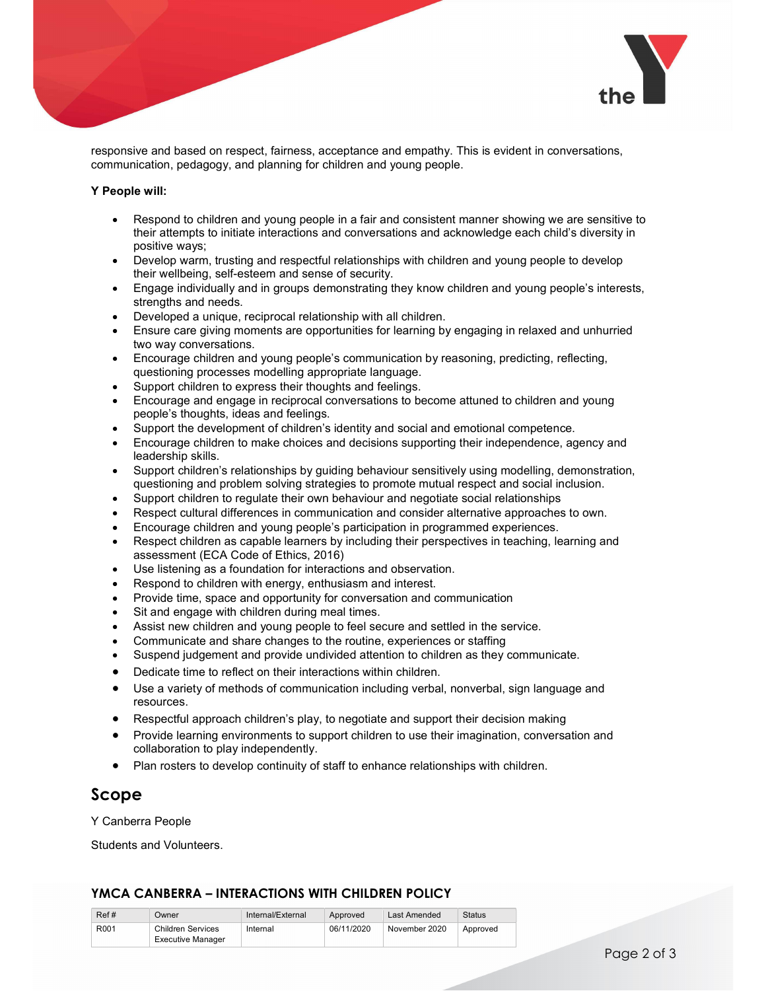

responsive and based on respect, fairness, acceptance and empathy. This is evident in conversations, communication, pedagogy, and planning for children and young people.

#### Y People will:

- Respond to children and young people in a fair and consistent manner showing we are sensitive to their attempts to initiate interactions and conversations and acknowledge each child's diversity in positive ways;
- Develop warm, trusting and respectful relationships with children and young people to develop their wellbeing, self-esteem and sense of security.
- Engage individually and in groups demonstrating they know children and young people's interests, strengths and needs.
- Developed a unique, reciprocal relationship with all children.
- Ensure care giving moments are opportunities for learning by engaging in relaxed and unhurried two way conversations.
- Encourage children and young people's communication by reasoning, predicting, reflecting, questioning processes modelling appropriate language.
- Support children to express their thoughts and feelings.
- Encourage and engage in reciprocal conversations to become attuned to children and young people's thoughts, ideas and feelings.
- Support the development of children's identity and social and emotional competence.
- Encourage children to make choices and decisions supporting their independence, agency and leadership skills.
- Support children's relationships by guiding behaviour sensitively using modelling, demonstration, questioning and problem solving strategies to promote mutual respect and social inclusion.
- Support children to regulate their own behaviour and negotiate social relationships
- Respect cultural differences in communication and consider alternative approaches to own.
- Encourage children and young people's participation in programmed experiences.
- Respect children as capable learners by including their perspectives in teaching, learning and assessment (ECA Code of Ethics, 2016)
- Use listening as a foundation for interactions and observation.
- Respond to children with energy, enthusiasm and interest.
- Provide time, space and opportunity for conversation and communication
- Sit and engage with children during meal times.
- Assist new children and young people to feel secure and settled in the service.
- Communicate and share changes to the routine, experiences or staffing
- Suspend judgement and provide undivided attention to children as they communicate.
- Dedicate time to reflect on their interactions within children.
- Use a variety of methods of communication including verbal, nonverbal, sign language and resources.
- Respectful approach children's play, to negotiate and support their decision making
- Provide learning environments to support children to use their imagination, conversation and collaboration to play independently.
- Plan rosters to develop continuity of staff to enhance relationships with children.

## Scope

Y Canberra People

Students and Volunteers.

#### YMCA CANBERRA – INTERACTIONS WITH CHILDREN POLICY

| Ref#             | Owner             | Internal/External | Approved   | Last Amended  | Status   |
|------------------|-------------------|-------------------|------------|---------------|----------|
| R <sub>001</sub> | Children Services | Internal          | 06/11/2020 | November 2020 | Approved |
|                  | Executive Manager |                   |            |               |          |